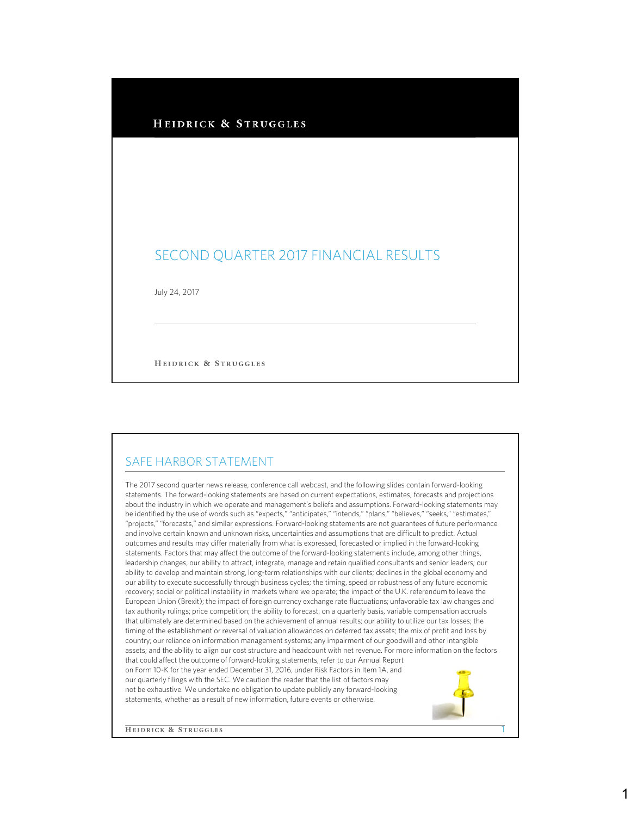## HEIDRICK & STRUGGLES

## SECOND QUARTER 2017 FINANCIAL RESULTS

July 24, 2017

HEIDRICK & STRUGGLES

## SAFE HARBOR STATEMENT

The 2017 second quarter news release, conference call webcast, and the following slides contain forward-looking statements. The forward-looking statements are based on current expectations, estimates, forecasts and projections about the industry in which we operate and management's beliefs and assumptions. Forward-looking statements may be identified by the use of words such as "expects," "anticipates," "intends," "plans," "believes," "seeks," "estimates," "projects," "forecasts," and similar expressions. Forward-looking statements are not guarantees of future performance and involve certain known and unknown risks, uncertainties and assumptions that are difficult to predict. Actual outcomes and results may differ materially from what is expressed, forecasted or implied in the forward-looking statements. Factors that may affect the outcome of the forward-looking statements include, among other things, leadership changes, our ability to attract, integrate, manage and retain qualified consultants and senior leaders; our ability to develop and maintain strong, long-term relationships with our clients; declines in the global economy and our ability to execute successfully through business cycles; the timing, speed or robustness of any future economic recovery; social or political instability in markets where we operate; the impact of the U.K. referendum to leave the European Union (Brexit); the impact of foreign currency exchange rate fluctuations; unfavorable tax law changes and tax authority rulings; price competition; the ability to forecast, on a quarterly basis, variable compensation accruals that ultimately are determined based on the achievement of annual results; our ability to utilize our tax losses; the timing of the establishment or reversal of valuation allowances on deferred tax assets; the mix of profit and loss by country; our reliance on information management systems; any impairment of our goodwill and other intangible assets; and the ability to align our cost structure and headcount with net revenue. For more information on the factors that could affect the outcome of forward-looking statements, refer to our Annual Report on Form 10-K for the year ended December 31, 2016, under Risk Factors in Item 1A, and our quarterly filings with the SEC. We caution the reader that the list of factors may not be exhaustive. We undertake no obligation to update publicly any forward-looking statements, whether as a result of new information, future events or otherwise.

**HEIDRICK & STRUGGLES** 

1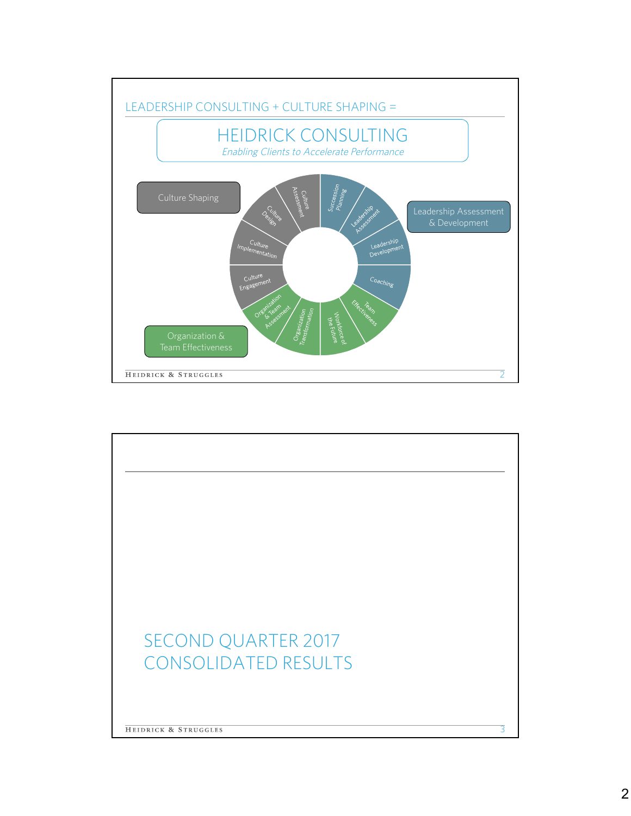

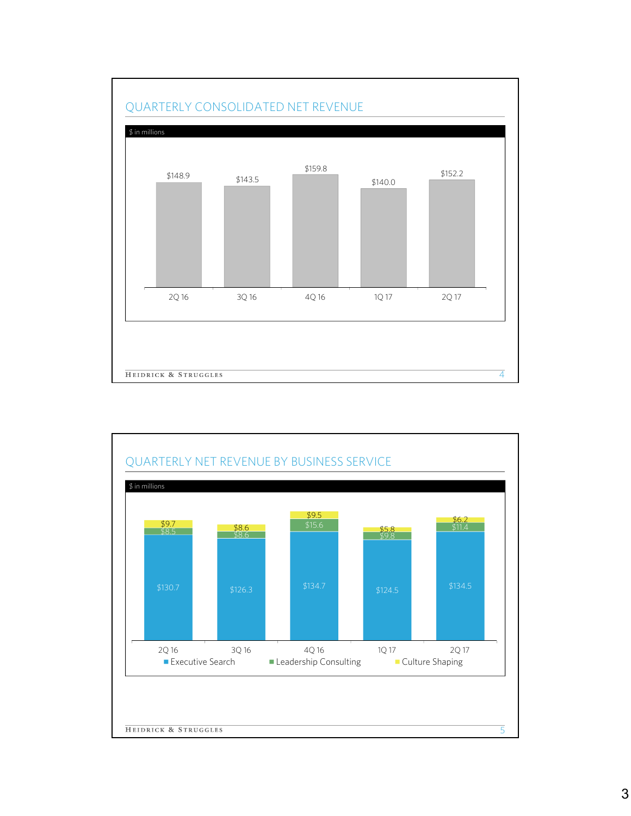

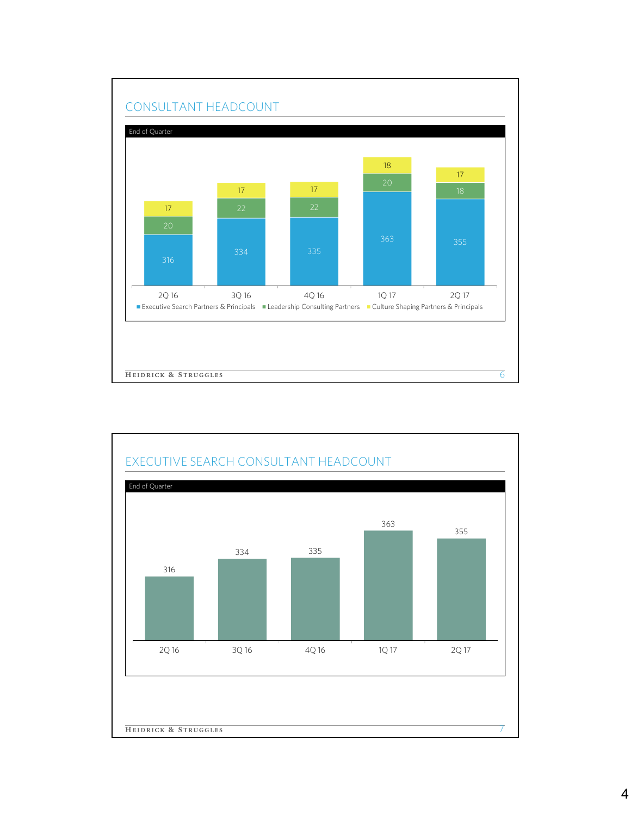

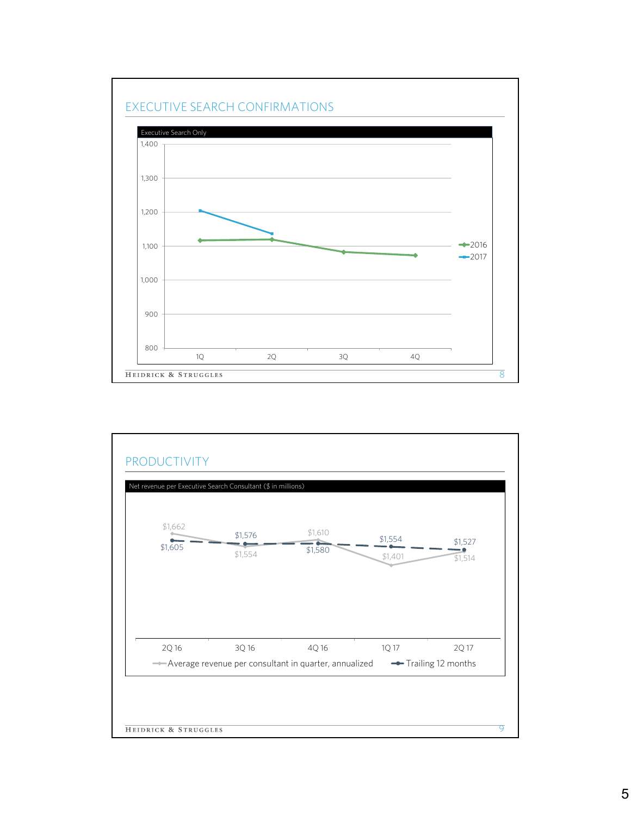

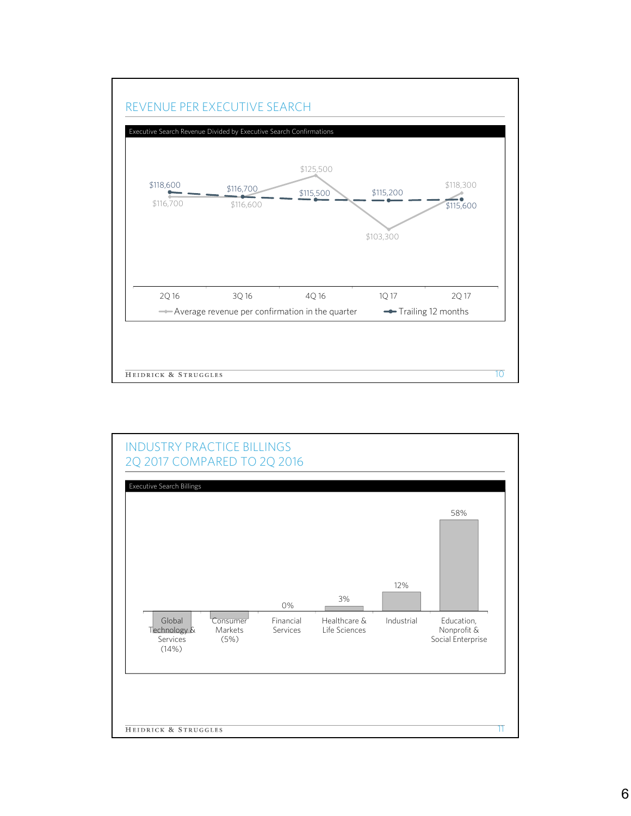

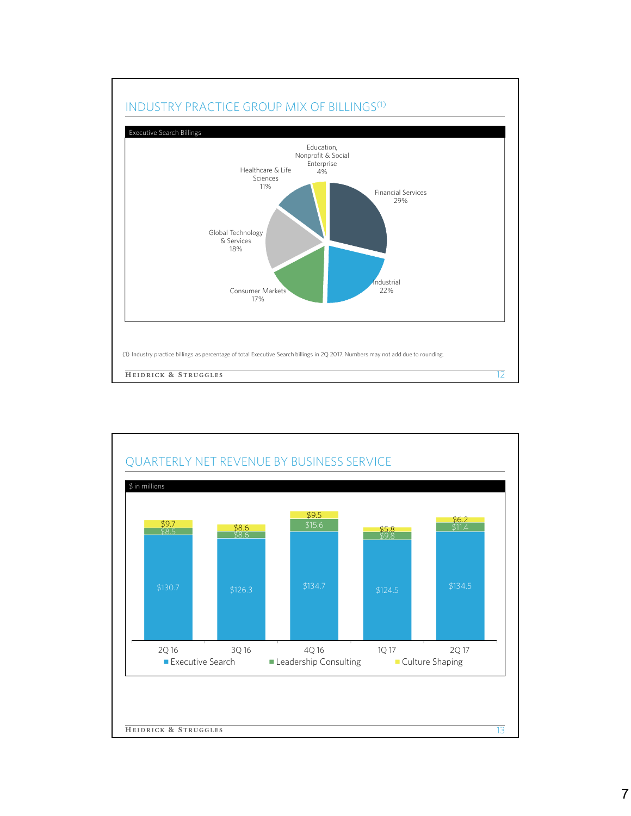

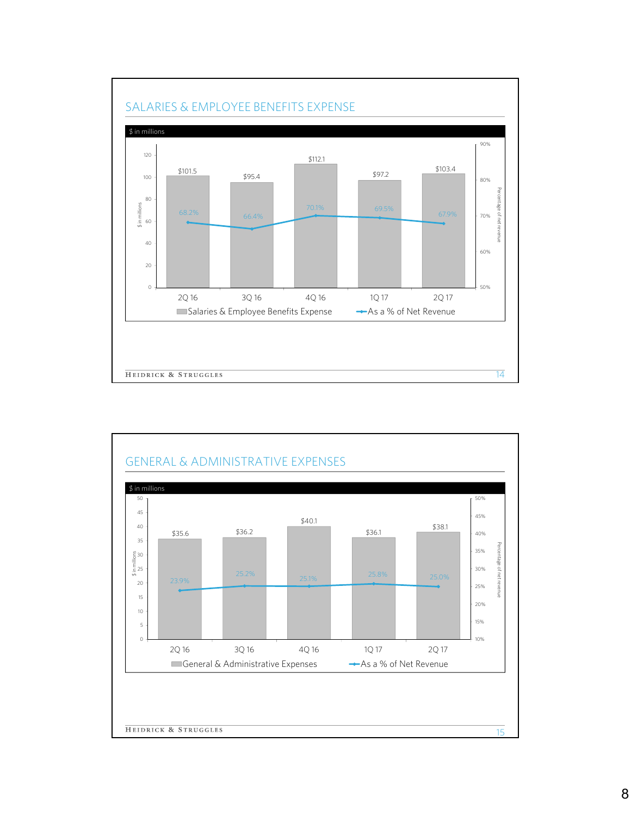

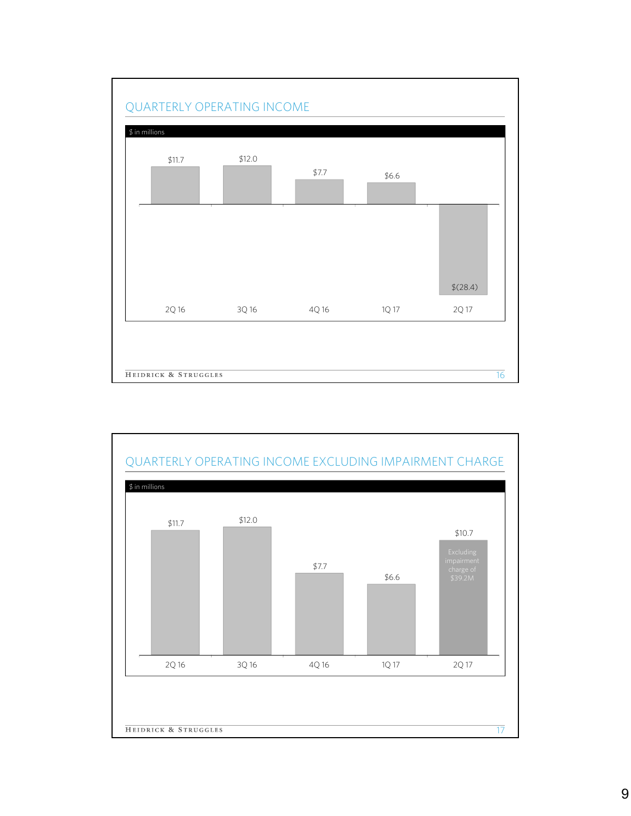

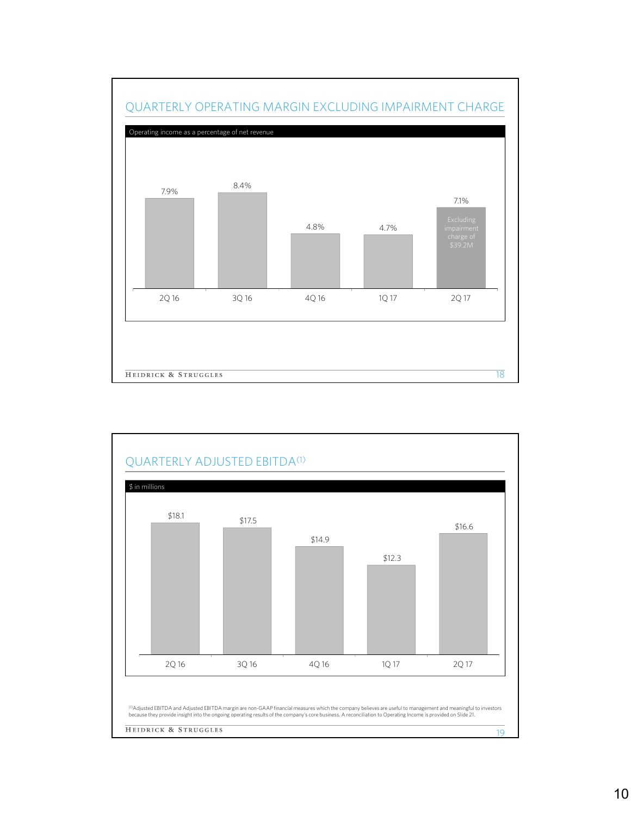

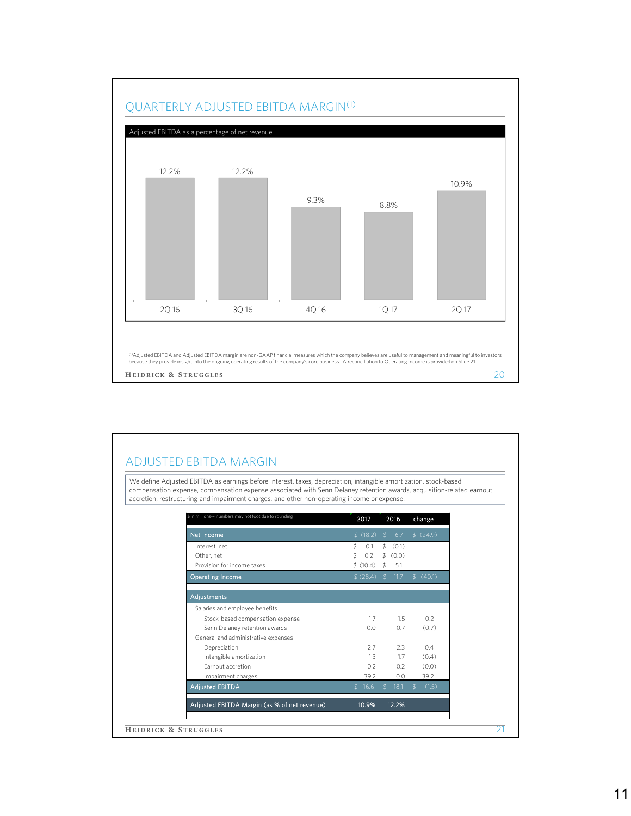

## ADJUSTED EBITDA MARGIN

We define Adjusted EBITDA as earnings before interest, taxes, depreciation, intangible amortization, stock-based compensation expense, compensation expense associated with Senn Delaney retention awards, acquisition-related earnout accretion, restructuring and impairment charges, and other non-operating income or expense.

| \$ in millions -- numbers may not foot due to rounding | 2017       | 2016                   | change       |
|--------------------------------------------------------|------------|------------------------|--------------|
| Net Income                                             | \$(18.2)   | \$<br>6.7              | \$(24.9)     |
| Interest, net                                          | \$<br>0.1  | \$<br>(0.1)            |              |
| Other, net                                             | 0.2<br>\$  | \$ (0.0)               |              |
| Provision for income taxes                             | \$(10.4)   | \$<br>5.1              |              |
| Operating Income                                       | \$(28.4)   | $\mathfrak{F}$<br>11.7 | \$(40.1)     |
| Adjustments                                            |            |                        |              |
| Salaries and employee benefits                         |            |                        |              |
| Stock-based compensation expense                       | 1.7        | 1.5                    | 0.2          |
| Senn Delaney retention awards                          | 0.0        | 0.7                    | (0.7)        |
| General and administrative expenses                    |            |                        |              |
| Depreciation                                           | 2.7        | 2.3                    | 0.4          |
| Intangible amortization                                | 1.3        | 1.7                    | (0.4)        |
| Farnout accretion                                      | 0.2        | 0.2                    | (0.0)        |
| Impairment charges                                     | 39.2       | 0.0                    | 39.2         |
| <b>Adjusted EBITDA</b>                                 | 16.6<br>\$ | 18.1<br>\$             | (1.5)<br>\$. |
| Adjusted EBITDA Margin (as % of net revenue)           | 10.9%      | 12.2%                  |              |
|                                                        |            |                        |              |
| HEIDRICK & STRUGGLES                                   |            |                        |              |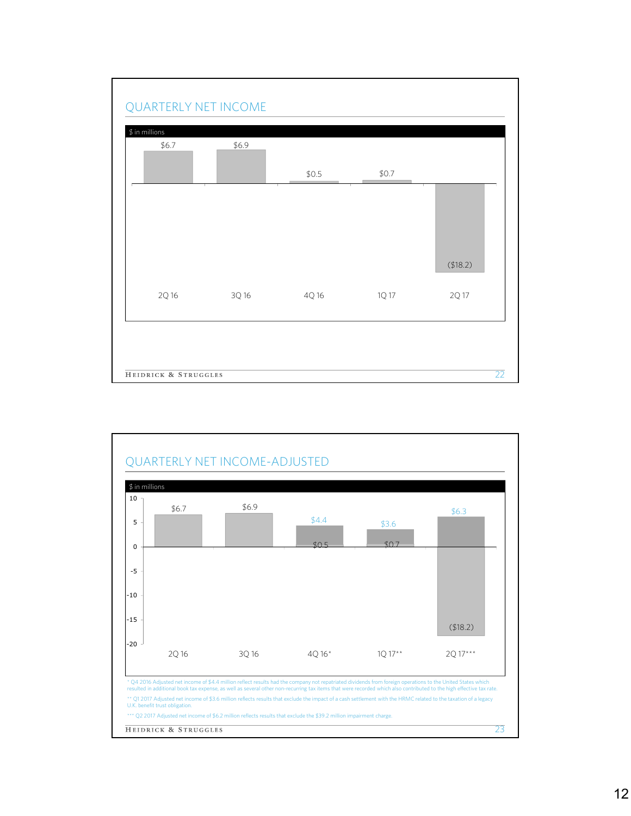

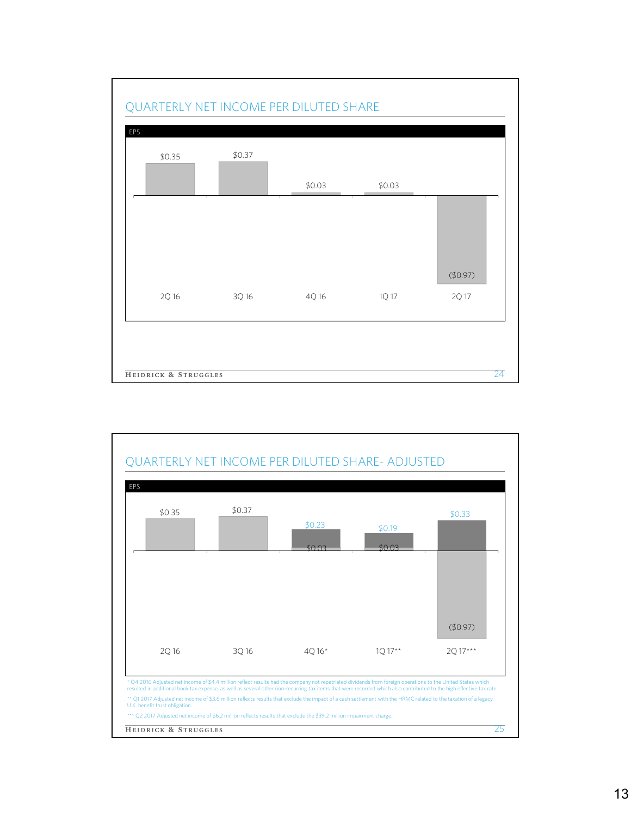

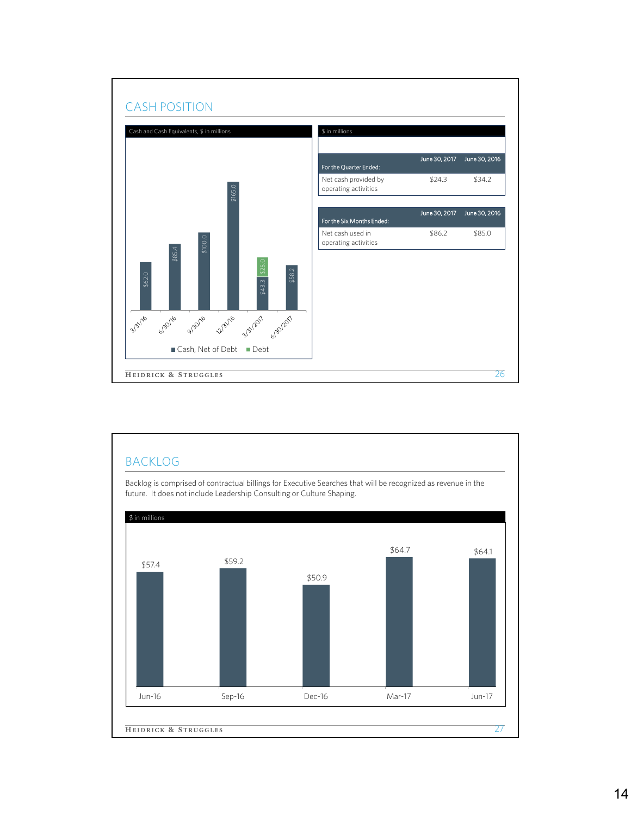

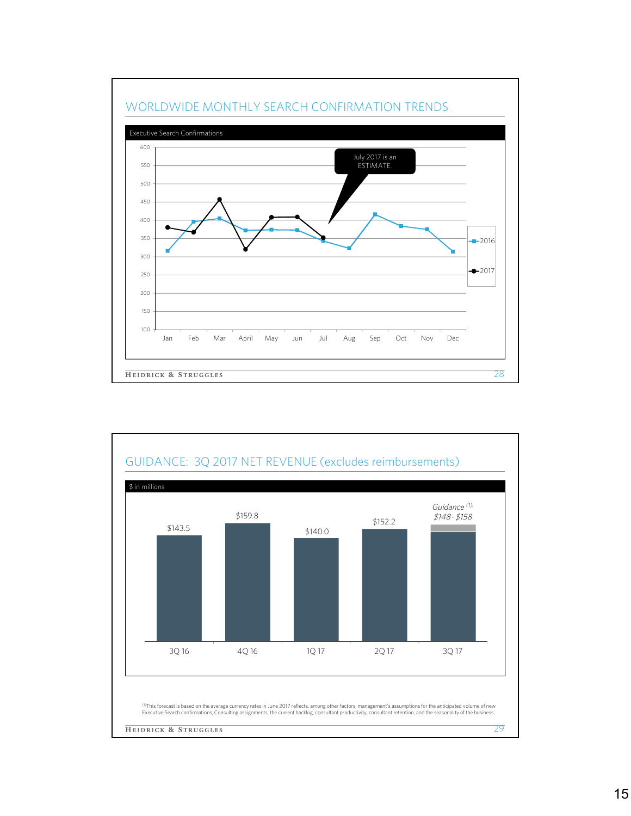